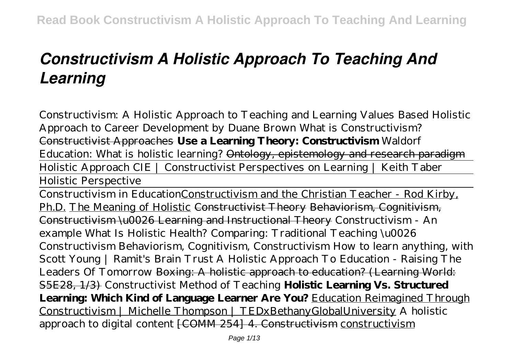# *Constructivism A Holistic Approach To Teaching And Learning*

*Constructivism: A Holistic Approach to Teaching and Learning Values Based Holistic Approach to Career Development by Duane Brown What is Constructivism?* Constructivist Approaches **Use a Learning Theory: Constructivism** Waldorf Education: What is holistic learning? Ontology, epistemology and research paradigm Holistic Approach CIE | Constructivist Perspectives on Learning | Keith Taber Holistic Perspective

Constructivism in EducationConstructivism and the Christian Teacher - Rod Kirby, Ph.D. The Meaning of Holistic Constructivist Theory Behaviorism, Cognitivism, Constructivism \u0026 Learning and Instructional Theory *Constructivism - An example What Is Holistic Health? Comparing: Traditional Teaching \u0026 Constructivism* Behaviorism, Cognitivism, Constructivism How to learn anything, with Scott Young | Ramit's Brain Trust A Holistic Approach To Education - Raising The Leaders Of Tomorrow Boxing: A holistic approach to education? (Learning World: S5E28, 1/3) Constructivist Method of Teaching **Holistic Learning Vs. Structured Learning: Which Kind of Language Learner Are You?** Education Reimagined Through Constructivism | Michelle Thompson | TEDxBethanyGlobalUniversity *A holistic approach to digital content* [COMM 254] 4. Constructivism constructivism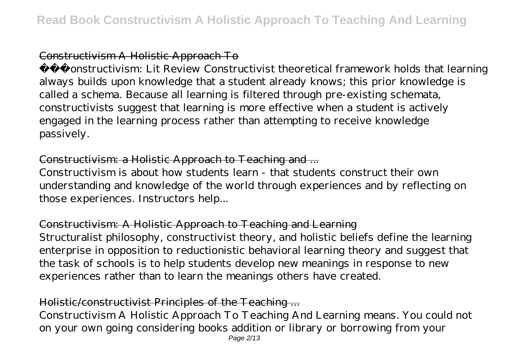## Constructivism A Holistic Approach To

 Constructivism: Lit Review Constructivist theoretical framework holds that learning always builds upon knowledge that a student already knows; this prior knowledge is called a schema. Because all learning is filtered through pre-existing schemata, constructivists suggest that learning is more effective when a student is actively engaged in the learning process rather than attempting to receive knowledge passively.

## Constructivism: a Holistic Approach to Teaching and ...

Constructivism is about how students learn - that students construct their own understanding and knowledge of the world through experiences and by reflecting on those experiences. Instructors help...

## Constructivism: A Holistic Approach to Teaching and Learning Structuralist philosophy, constructivist theory, and holistic beliefs define the learning enterprise in opposition to reductionistic behavioral learning theory and suggest that the task of schools is to help students develop new meanings in response to new experiences rather than to learn the meanings others have created.

## Holistic/constructivist Principles of the Teaching ...

Constructivism A Holistic Approach To Teaching And Learning means. You could not on your own going considering books addition or library or borrowing from your Page 2/13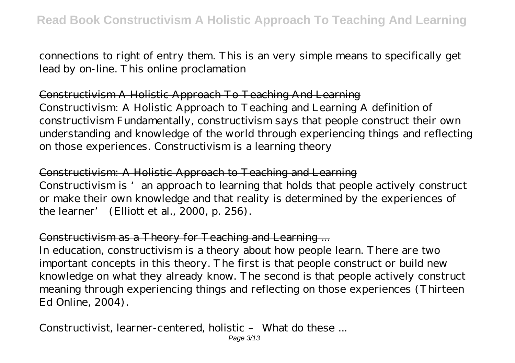connections to right of entry them. This is an very simple means to specifically get lead by on-line. This online proclamation

Constructivism A Holistic Approach To Teaching And Learning Constructivism: A Holistic Approach to Teaching and Learning A definition of constructivism Fundamentally, constructivism says that people construct their own

understanding and knowledge of the world through experiencing things and reflecting on those experiences. Constructivism is a learning theory

Constructivism: A Holistic Approach to Teaching and Learning Constructivism is 'an approach to learning that holds that people actively construct or make their own knowledge and that reality is determined by the experiences of the learner' (Elliott et al., 2000, p. 256).

## Constructivism as a Theory for Teaching and Learning ...

In education, constructivism is a theory about how people learn. There are two important concepts in this theory. The first is that people construct or build new knowledge on what they already know. The second is that people actively construct meaning through experiencing things and reflecting on those experiences (Thirteen Ed Online, 2004).

Constructivist, learner-centered, holistic – What do these -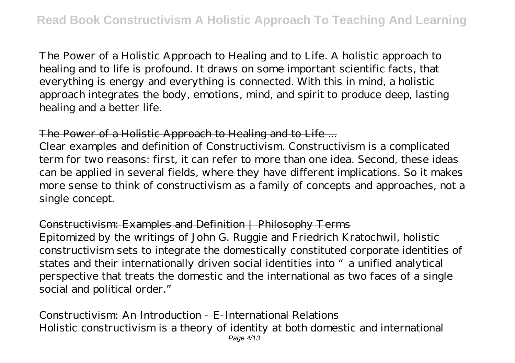The Power of a Holistic Approach to Healing and to Life. A holistic approach to healing and to life is profound. It draws on some important scientific facts, that everything is energy and everything is connected. With this in mind, a holistic approach integrates the body, emotions, mind, and spirit to produce deep, lasting healing and a better life.

## The Power of a Holistic Approach to Healing and to Life ...

Clear examples and definition of Constructivism. Constructivism is a complicated term for two reasons: first, it can refer to more than one idea. Second, these ideas can be applied in several fields, where they have different implications. So it makes more sense to think of constructivism as a family of concepts and approaches, not a single concept.

#### Constructivism: Examples and Definition | Philosophy Terms

Epitomized by the writings of John G. Ruggie and Friedrich Kratochwil, holistic constructivism sets to integrate the domestically constituted corporate identities of states and their internationally driven social identities into "a unified analytical perspective that treats the domestic and the international as two faces of a single social and political order."

Constructivism: An Introduction - E-International Relations Holistic constructivism is a theory of identity at both domestic and international Page 4/13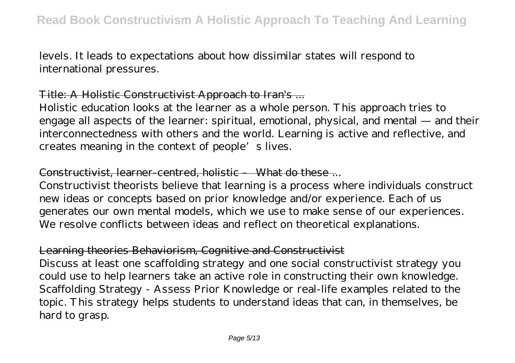levels. It leads to expectations about how dissimilar states will respond to international pressures.

#### Title: A Holistic Constructivist Approach to Iran's ...

Holistic education looks at the learner as a whole person. This approach tries to engage all aspects of the learner: spiritual, emotional, physical, and mental — and their interconnectedness with others and the world. Learning is active and reflective, and creates meaning in the context of people's lives.

#### Constructivist, learner-centred, holistic – What do these...

Constructivist theorists believe that learning is a process where individuals construct new ideas or concepts based on prior knowledge and/or experience. Each of us generates our own mental models, which we use to make sense of our experiences. We resolve conflicts between ideas and reflect on theoretical explanations.

#### Learning theories Behaviorism, Cognitive and Constructivist

Discuss at least one scaffolding strategy and one social constructivist strategy you could use to help learners take an active role in constructing their own knowledge. Scaffolding Strategy - Assess Prior Knowledge or real-life examples related to the topic. This strategy helps students to understand ideas that can, in themselves, be hard to grasp.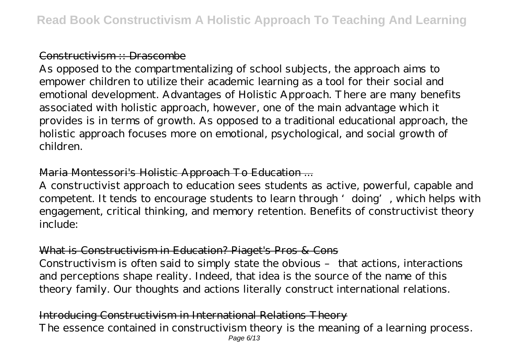#### Constructivism :: Drascombe

As opposed to the compartmentalizing of school subjects, the approach aims to empower children to utilize their academic learning as a tool for their social and emotional development. Advantages of Holistic Approach. There are many benefits associated with holistic approach, however, one of the main advantage which it provides is in terms of growth. As opposed to a traditional educational approach, the holistic approach focuses more on emotional, psychological, and social growth of children.

## Maria Montessori's Holistic Approach To Education ...

A constructivist approach to education sees students as active, powerful, capable and competent. It tends to encourage students to learn through 'doing', which helps with engagement, critical thinking, and memory retention. Benefits of constructivist theory include:

## What is Constructivism in Education? Piaget's Pros & Cons

Constructivism is often said to simply state the obvious – that actions, interactions and perceptions shape reality. Indeed, that idea is the source of the name of this theory family. Our thoughts and actions literally construct international relations.

Introducing Constructivism in International Relations Theory The essence contained in constructivism theory is the meaning of a learning process. Page 6/13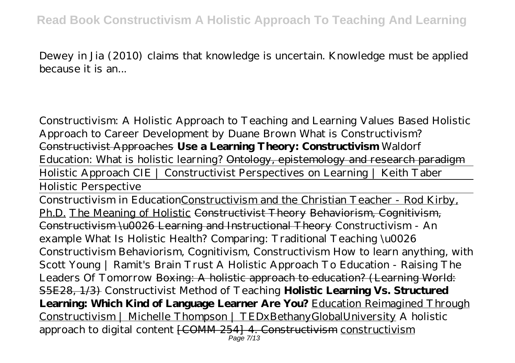Dewey in Jia (2010) claims that knowledge is uncertain. Knowledge must be applied because it is an...

*Constructivism: A Holistic Approach to Teaching and Learning Values Based Holistic Approach to Career Development by Duane Brown What is Constructivism?* Constructivist Approaches **Use a Learning Theory: Constructivism** Waldorf Education: What is holistic learning? Ontology, epistemology and research paradigm Holistic Approach CIE | Constructivist Perspectives on Learning | Keith Taber

Holistic Perspective

Constructivism in EducationConstructivism and the Christian Teacher - Rod Kirby, Ph.D. The Meaning of Holistic Constructivist Theory Behaviorism, Cognitivism, Constructivism \u0026 Learning and Instructional Theory *Constructivism - An example What Is Holistic Health? Comparing: Traditional Teaching \u0026 Constructivism* Behaviorism, Cognitivism, Constructivism How to learn anything, with Scott Young | Ramit's Brain Trust A Holistic Approach To Education - Raising The Leaders Of Tomorrow Boxing: A holistic approach to education? (Learning World: S5E28, 1/3) Constructivist Method of Teaching **Holistic Learning Vs. Structured Learning: Which Kind of Language Learner Are You?** Education Reimagined Through Constructivism | Michelle Thompson | TEDxBethanyGlobalUniversity *A holistic approach to digital content* [COMM 254] 4. Constructivism constructivism Page 7/13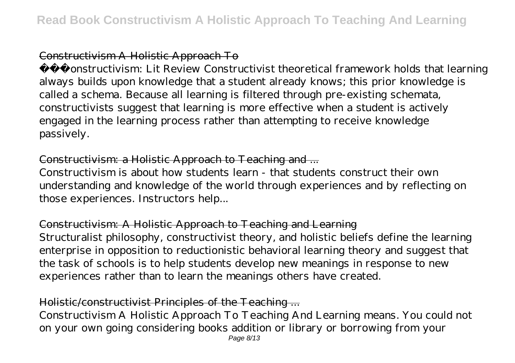## Constructivism A Holistic Approach To

 Constructivism: Lit Review Constructivist theoretical framework holds that learning always builds upon knowledge that a student already knows; this prior knowledge is called a schema. Because all learning is filtered through pre-existing schemata, constructivists suggest that learning is more effective when a student is actively engaged in the learning process rather than attempting to receive knowledge passively.

## Constructivism: a Holistic Approach to Teaching and ...

Constructivism is about how students learn - that students construct their own understanding and knowledge of the world through experiences and by reflecting on those experiences. Instructors help...

## Constructivism: A Holistic Approach to Teaching and Learning Structuralist philosophy, constructivist theory, and holistic beliefs define the learning enterprise in opposition to reductionistic behavioral learning theory and suggest that the task of schools is to help students develop new meanings in response to new experiences rather than to learn the meanings others have created.

## Holistic/constructivist Principles of the Teaching ...

Constructivism A Holistic Approach To Teaching And Learning means. You could not on your own going considering books addition or library or borrowing from your Page 8/13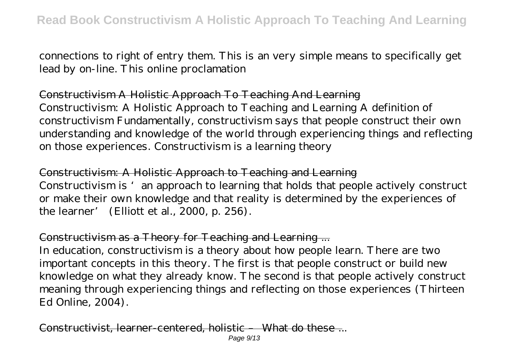connections to right of entry them. This is an very simple means to specifically get lead by on-line. This online proclamation

Constructivism A Holistic Approach To Teaching And Learning Constructivism: A Holistic Approach to Teaching and Learning A definition of constructivism Fundamentally, constructivism says that people construct their own

understanding and knowledge of the world through experiencing things and reflecting on those experiences. Constructivism is a learning theory

Constructivism: A Holistic Approach to Teaching and Learning Constructivism is 'an approach to learning that holds that people actively construct or make their own knowledge and that reality is determined by the experiences of the learner' (Elliott et al., 2000, p. 256).

## Constructivism as a Theory for Teaching and Learning ...

In education, constructivism is a theory about how people learn. There are two important concepts in this theory. The first is that people construct or build new knowledge on what they already know. The second is that people actively construct meaning through experiencing things and reflecting on those experiences (Thirteen Ed Online, 2004).

Constructivist, learner-centered, holistic – What do these -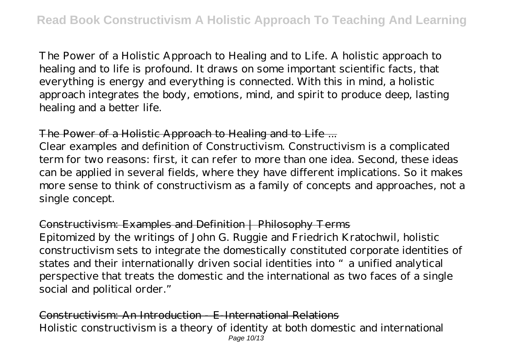The Power of a Holistic Approach to Healing and to Life. A holistic approach to healing and to life is profound. It draws on some important scientific facts, that everything is energy and everything is connected. With this in mind, a holistic approach integrates the body, emotions, mind, and spirit to produce deep, lasting healing and a better life.

## The Power of a Holistic Approach to Healing and to Life ...

Clear examples and definition of Constructivism. Constructivism is a complicated term for two reasons: first, it can refer to more than one idea. Second, these ideas can be applied in several fields, where they have different implications. So it makes more sense to think of constructivism as a family of concepts and approaches, not a single concept.

#### Constructivism: Examples and Definition | Philosophy Terms

Epitomized by the writings of John G. Ruggie and Friedrich Kratochwil, holistic constructivism sets to integrate the domestically constituted corporate identities of states and their internationally driven social identities into "a unified analytical perspective that treats the domestic and the international as two faces of a single social and political order."

Constructivism: An Introduction - E-International Relations Holistic constructivism is a theory of identity at both domestic and international Page 10/13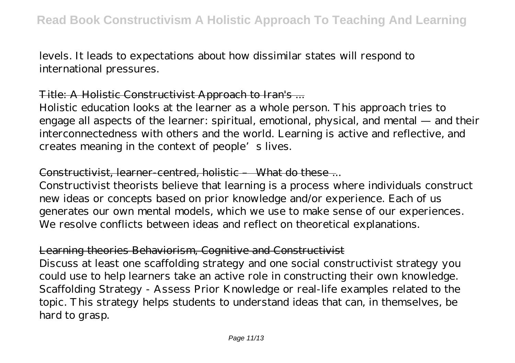levels. It leads to expectations about how dissimilar states will respond to international pressures.

#### Title: A Holistic Constructivist Approach to Iran's ...

Holistic education looks at the learner as a whole person. This approach tries to engage all aspects of the learner: spiritual, emotional, physical, and mental — and their interconnectedness with others and the world. Learning is active and reflective, and creates meaning in the context of people's lives.

#### Constructivist, learner-centred, holistic – What do these...

Constructivist theorists believe that learning is a process where individuals construct new ideas or concepts based on prior knowledge and/or experience. Each of us generates our own mental models, which we use to make sense of our experiences. We resolve conflicts between ideas and reflect on theoretical explanations.

## Learning theories Behaviorism, Cognitive and Constructivist

Discuss at least one scaffolding strategy and one social constructivist strategy you could use to help learners take an active role in constructing their own knowledge. Scaffolding Strategy - Assess Prior Knowledge or real-life examples related to the topic. This strategy helps students to understand ideas that can, in themselves, be hard to grasp.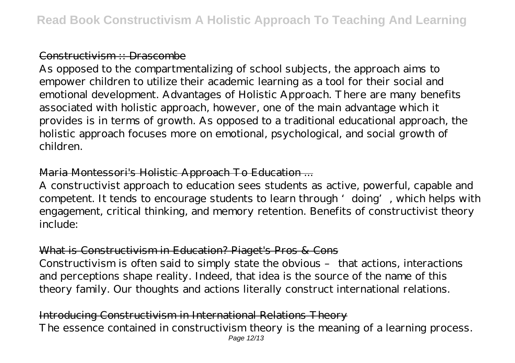#### Constructivism :: Drascombe

As opposed to the compartmentalizing of school subjects, the approach aims to empower children to utilize their academic learning as a tool for their social and emotional development. Advantages of Holistic Approach. There are many benefits associated with holistic approach, however, one of the main advantage which it provides is in terms of growth. As opposed to a traditional educational approach, the holistic approach focuses more on emotional, psychological, and social growth of children.

## Maria Montessori's Holistic Approach To Education ...

A constructivist approach to education sees students as active, powerful, capable and competent. It tends to encourage students to learn through 'doing', which helps with engagement, critical thinking, and memory retention. Benefits of constructivist theory include:

## What is Constructivism in Education? Piaget's Pros & Cons

Constructivism is often said to simply state the obvious – that actions, interactions and perceptions shape reality. Indeed, that idea is the source of the name of this theory family. Our thoughts and actions literally construct international relations.

Introducing Constructivism in International Relations Theory The essence contained in constructivism theory is the meaning of a learning process. Page 12/13